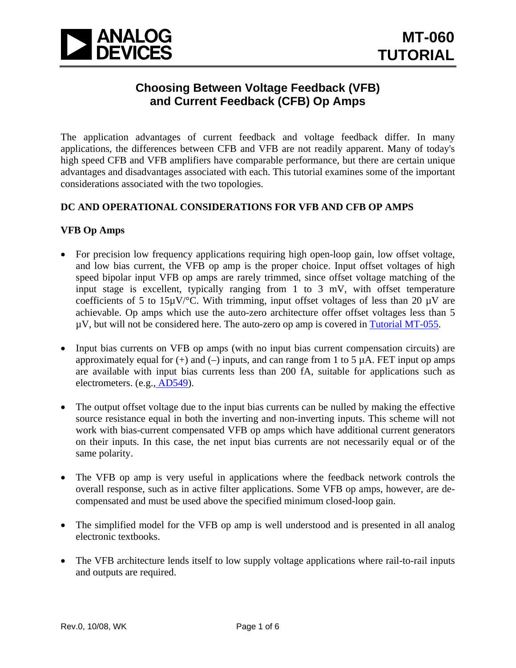

## **Choosing Between Voltage Feedback (VFB) and Current Feedback (CFB) Op Amps**

The application advantages of current feedback and voltage feedback differ. In many applications, the differences between CFB and VFB are not readily apparent. Many of today's high speed CFB and VFB amplifiers have comparable performance, but there are certain unique advantages and disadvantages associated with each. This tutorial examines some of the important considerations associated with the two topologies.

#### **DC AND OPERATIONAL CONSIDERATIONS FOR VFB AND CFB OP AMPS**

#### **VFB Op Amps**

- For precision low frequency applications requiring high open-loop gain, low offset voltage, and low bias current, the VFB op amp is the proper choice. Input offset voltages of high speed bipolar input VFB op amps are rarely trimmed, since offset voltage matching of the input stage is excellent, typically ranging from 1 to 3 mV, with offset temperature coefficients of 5 to 15 $\mu$ V/°C. With trimming, input offset voltages of less than 20  $\mu$ V are achievable. Op amps which use the auto-zero architecture offer offset voltages less than 5  $\mu$ V, but will not be considered here. The auto-zero op amp is covered in [Tutorial MT-055](http://www.analog.com/static/imported-files/tutorials/MT-055.pdf).
- Input bias currents on VFB op amps (with no input bias current compensation circuits) are approximately equal for  $(+)$  and  $(-)$  inputs, and can range from 1 to 5  $\mu$ A. FET input op amps are available with input bias currents less than 200 fA, suitable for applications such as electrometers. (e.g., [AD549](http://www.analog.com/en/other/militaryaerospace/ad549/products/product.html)).
- The output offset voltage due to the input bias currents can be nulled by making the effective source resistance equal in both the inverting and non-inverting inputs. This scheme will not work with bias-current compensated VFB op amps which have additional current generators on their inputs. In this case, the net input bias currents are not necessarily equal or of the same polarity.
- The VFB op amp is very useful in applications where the feedback network controls the overall response, such as in active filter applications. Some VFB op amps, however, are decompensated and must be used above the specified minimum closed-loop gain.
- The simplified model for the VFB op amp is well understood and is presented in all analog electronic textbooks.
- The VFB architecture lends itself to low supply voltage applications where rail-to-rail inputs and outputs are required.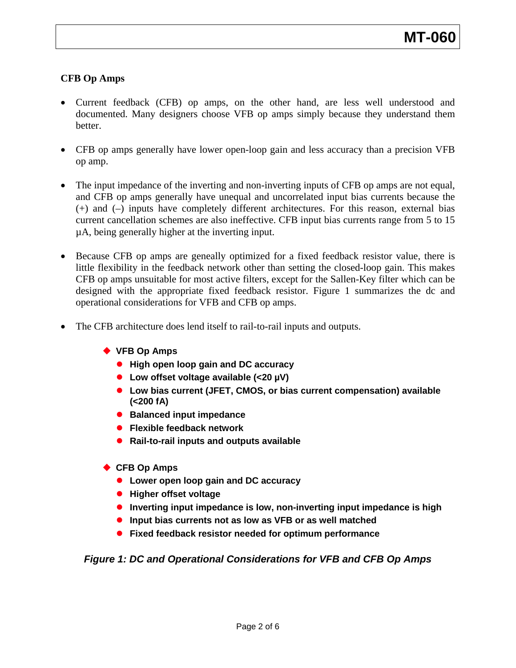### **CFB Op Amps**

- Current feedback (CFB) op amps, on the other hand, are less well understood and documented. Many designers choose VFB op amps simply because they understand them better.
- CFB op amps generally have lower open-loop gain and less accuracy than a precision VFB op amp.
- The input impedance of the inverting and non-inverting inputs of CFB op amps are not equal, and CFB op amps generally have unequal and uncorrelated input bias currents because the (+) and (–) inputs have completely different architectures. For this reason, external bias current cancellation schemes are also ineffective. CFB input bias currents range from 5 to 15 µA, being generally higher at the inverting input.
- Because CFB op amps are geneally optimized for a fixed feedback resistor value, there is little flexibility in the feedback network other than setting the closed-loop gain. This makes CFB op amps unsuitable for most active filters, except for the Sallen-Key filter which can be designed with the appropriate fixed feedback resistor. Figure 1 summarizes the dc and operational considerations for VFB and CFB op amps.
- The CFB architecture does lend itself to rail-to-rail inputs and outputs.
	- ◆ VFB Op Amps
		- **High open loop gain and DC accuracy**
		- Low offset voltage available (<20 µV)
		- **Low bias current (JFET, CMOS, or bias current compensation) available (<200 fA)**
		- **Balanced input impedance**
		- **Flexible feedback network**
		- **Rail-to-rail inputs and outputs available**
	- ◆ CFB Op Amps
		- **Lower open loop gain and DC accuracy**
		- **Higher offset voltage**
		- **•** Inverting input impedance is low, non-inverting input impedance is high
		- **Input bias currents not as low as VFB or as well matched**
		- **Fixed feedback resistor needed for optimum performance**

#### *Figure 1: DC and Operational Considerations for VFB and CFB Op Amps*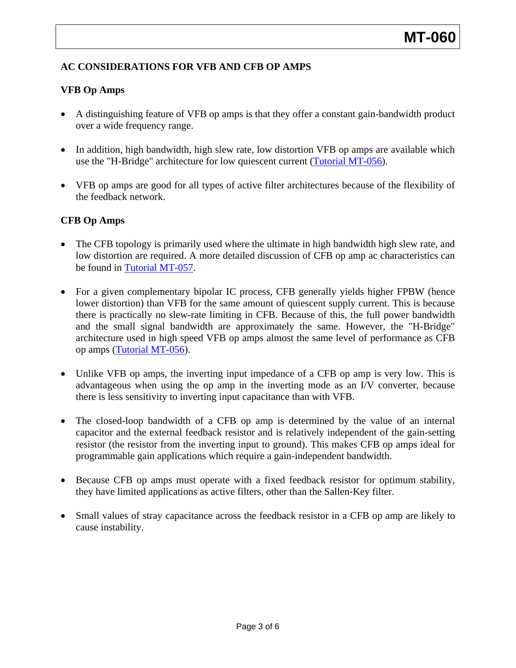## **AC CONSIDERATIONS FOR VFB AND CFB OP AMPS**

#### **VFB Op Amps**

- A distinguishing feature of VFB op amps is that they offer a constant gain-bandwidth product over a wide frequency range.
- In addition, high bandwidth, high slew rate, low distortion VFB op amps are available which use the "H-Bridge" architecture for low quiescent current ([Tutorial MT-056](http://www.analog.com/static/imported-files/tutorials/MT-056.pdf)).
- VFB op amps are good for all types of active filter architectures because of the flexibility of the feedback network.

#### **CFB Op Amps**

- The CFB topology is primarily used where the ultimate in high bandwidth high slew rate, and low distortion are required. A more detailed discussion of CFB op amp ac characteristics can be found in [Tutorial MT-057](http://www.analog.com/static/imported-files/tutorials/MT-057.pdf).
- For a given complementary bipolar IC process, CFB generally yields higher FPBW (hence lower distortion) than VFB for the same amount of quiescent supply current. This is because there is practically no slew-rate limiting in CFB. Because of this, the full power bandwidth and the small signal bandwidth are approximately the same. However, the "H-Bridge" architecture used in high speed VFB op amps almost the same level of performance as CFB op amps [\(Tutorial MT-056](http://www.analog.com/static/imported-files/tutorials/MT-056.pdf)).
- Unlike VFB op amps, the inverting input impedance of a CFB op amp is very low. This is advantageous when using the op amp in the inverting mode as an I/V converter, because there is less sensitivity to inverting input capacitance than with VFB.
- The closed-loop bandwidth of a CFB op amp is determined by the value of an internal capacitor and the external feedback resistor and is relatively independent of the gain-setting resistor (the resistor from the inverting input to ground). This makes CFB op amps ideal for programmable gain applications which require a gain-independent bandwidth.
- Because CFB op amps must operate with a fixed feedback resistor for optimum stability, they have limited applications as active filters, other than the Sallen-Key filter.
- Small values of stray capacitance across the feedback resistor in a CFB op amp are likely to cause instability.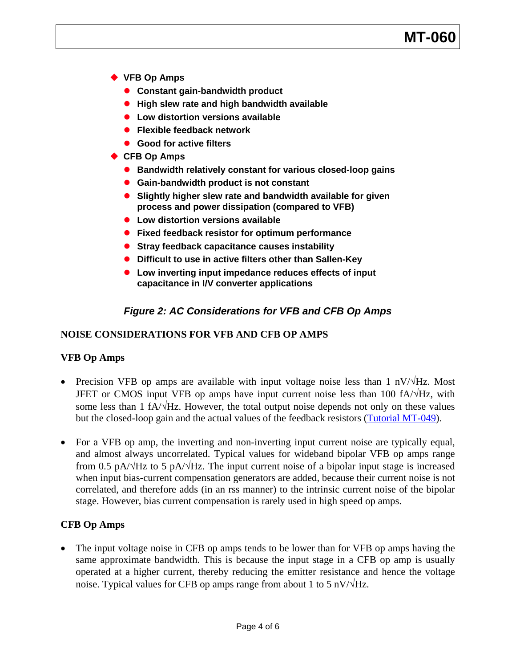# **MT-060**

- **VFB Op Amps**
	- **Constant gain-bandwidth product**
	- **High slew rate and high bandwidth available**
	- **Low distortion versions available**
	- **Flexible feedback network**
	- **Good for active filters**
- ◆ CFB Op Amps
	- **Bandwidth relatively constant for various closed-loop gains**
	- **Gain-bandwidth product is not constant**
	- **Slightly higher slew rate and bandwidth available for given process and power dissipation (compared to VFB)**
	- **Low distortion versions available**
	- **Fixed feedback resistor for optimum performance**
	- **Stray feedback capacitance causes instability**
	- **Difficult to use in active filters other than Sallen-Key**
	- **Low inverting input impedance reduces effects of input capacitance in I/V converter applications**

### *Figure 2: AC Considerations for VFB and CFB Op Amps*

#### **NOISE CONSIDERATIONS FOR VFB AND CFB OP AMPS**

#### **VFB Op Amps**

- Precision VFB op amps are available with input voltage noise less than 1 nV/√Hz. Most JFET or CMOS input VFB op amps have input current noise less than 100 fA/√Hz, with some less than 1 fA/ $\sqrt{Hz}$ . However, the total output noise depends not only on these values but the closed-loop gain and the actual values of the feedback resistors ([Tutorial MT-049\)](http://www.analog.com/static/imported-files/tutorials/MT-049.pdf).
- For a VFB op amp, the inverting and non-inverting input current noise are typically equal, and almost always uncorrelated. Typical values for wideband bipolar VFB op amps range from 0.5 pA/ $\sqrt{Hz}$  to 5 pA/ $\sqrt{Hz}$ . The input current noise of a bipolar input stage is increased when input bias-current compensation generators are added, because their current noise is not correlated, and therefore adds (in an rss manner) to the intrinsic current noise of the bipolar stage. However, bias current compensation is rarely used in high speed op amps.

#### **CFB Op Amps**

• The input voltage noise in CFB op amps tends to be lower than for VFB op amps having the same approximate bandwidth. This is because the input stage in a CFB op amp is usually operated at a higher current, thereby reducing the emitter resistance and hence the voltage noise. Typical values for CFB op amps range from about 1 to 5 nV/ $\sqrt{Hz}$ .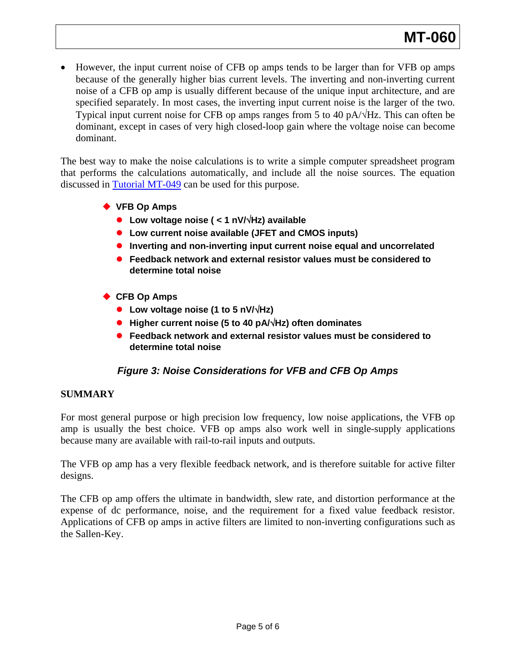• However, the input current noise of CFB op amps tends to be larger than for VFB op amps because of the generally higher bias current levels. The inverting and non-inverting current noise of a CFB op amp is usually different because of the unique input architecture, and are specified separately. In most cases, the inverting input current noise is the larger of the two. Typical input current noise for CFB op amps ranges from 5 to 40 pA/√Hz. This can often be dominant, except in cases of very high closed-loop gain where the voltage noise can become dominant.

The best way to make the noise calculations is to write a simple computer spreadsheet program that performs the calculations automatically, and include all the noise sources. The equation discussed in [Tutorial MT-049](http://www.analog.com/static/imported-files/tutorials/MT-049.pdf) can be used for this purpose.

- ◆ VFB Op Amps
	- z **Low voltage noise ( < 1 nV/**√**Hz) available**
	- **Low current noise available (JFET and CMOS inputs)**
	- **Inverting and non-inverting input current noise equal and uncorrelated**
	- **Feedback network and external resistor values must be considered to determine total noise**
- ◆ CFB Op Amps
	- z **Low voltage noise (1 to 5 nV/**√**Hz)**
	- z **Higher current noise (5 to 40 pA/**√**Hz) often dominates**
	- Feedback network and external resistor values must be considered to **determine total noise**

## *Figure 3: Noise Considerations for VFB and CFB Op Amps*

#### **SUMMARY**

For most general purpose or high precision low frequency, low noise applications, the VFB op amp is usually the best choice. VFB op amps also work well in single-supply applications because many are available with rail-to-rail inputs and outputs.

The VFB op amp has a very flexible feedback network, and is therefore suitable for active filter designs.

The CFB op amp offers the ultimate in bandwidth, slew rate, and distortion performance at the expense of dc performance, noise, and the requirement for a fixed value feedback resistor. Applications of CFB op amps in active filters are limited to non-inverting configurations such as the Sallen-Key.